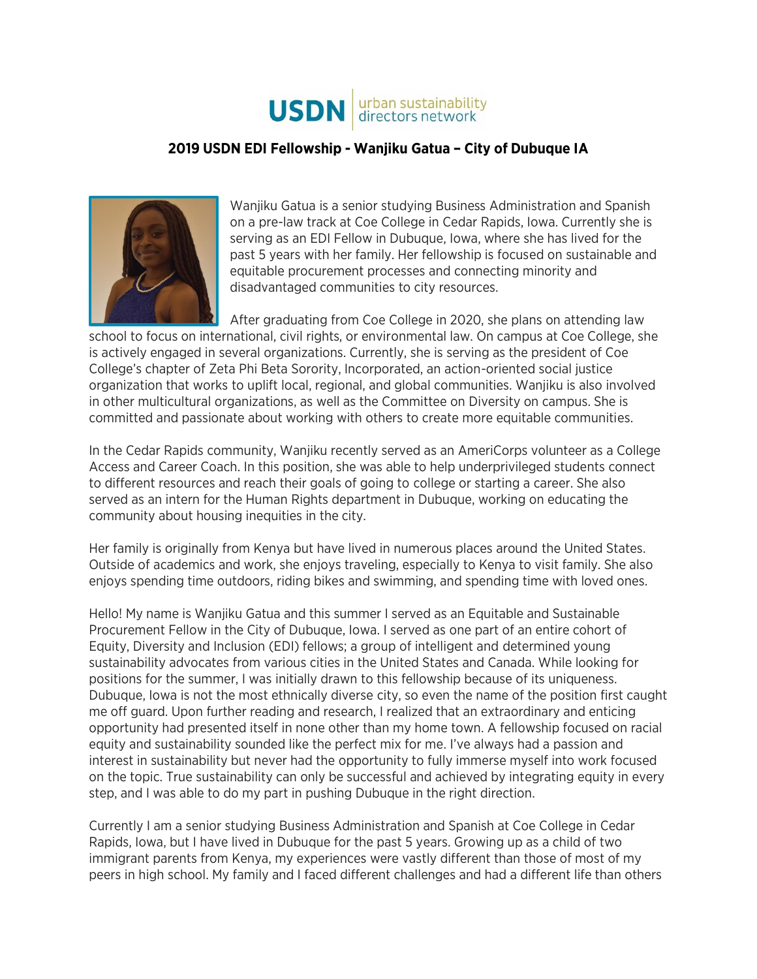

## **2019 USDN EDI Fellowship - Wanjiku Gatua – City of Dubuque IA**



Wanjiku Gatua is a senior studying Business Administration and Spanish on a pre-law track at Coe College in Cedar Rapids, Iowa. Currently she is serving as an EDI Fellow in Dubuque, Iowa, where she has lived for the past 5 years with her family. Her fellowship is focused on sustainable and equitable procurement processes and connecting minority and disadvantaged communities to city resources.

After graduating from Coe College in 2020, she plans on attending law school to focus on international, civil rights, or environmental law. On campus at Coe College, she is actively engaged in several organizations. Currently, she is serving as the president of Coe College's chapter of Zeta Phi Beta Sorority, Incorporated, an action-oriented social justice organization that works to uplift local, regional, and global communities. Wanjiku is also involved in other multicultural organizations, as well as the Committee on Diversity on campus. She is committed and passionate about working with others to create more equitable communities.

In the Cedar Rapids community, Wanjiku recently served as an AmeriCorps volunteer as a College Access and Career Coach. In this position, she was able to help underprivileged students connect to different resources and reach their goals of going to college or starting a career. She also served as an intern for the Human Rights department in Dubuque, working on educating the community about housing inequities in the city.

Her family is originally from Kenya but have lived in numerous places around the United States. Outside of academics and work, she enjoys traveling, especially to Kenya to visit family. She also enjoys spending time outdoors, riding bikes and swimming, and spending time with loved ones.

Hello! My name is Wanjiku Gatua and this summer I served as an Equitable and Sustainable Procurement Fellow in the City of Dubuque, Iowa. I served as one part of an entire cohort of Equity, Diversity and Inclusion (EDI) fellows; a group of intelligent and determined young sustainability advocates from various cities in the United States and Canada. While looking for positions for the summer, I was initially drawn to this fellowship because of its uniqueness. Dubuque, Iowa is not the most ethnically diverse city, so even the name of the position first caught me off guard. Upon further reading and research, I realized that an extraordinary and enticing opportunity had presented itself in none other than my home town. A fellowship focused on racial equity and sustainability sounded like the perfect mix for me. I've always had a passion and interest in sustainability but never had the opportunity to fully immerse myself into work focused on the topic. True sustainability can only be successful and achieved by integrating equity in every step, and I was able to do my part in pushing Dubuque in the right direction.

Currently I am a senior studying Business Administration and Spanish at Coe College in Cedar Rapids, Iowa, but I have lived in Dubuque for the past 5 years. Growing up as a child of two immigrant parents from Kenya, my experiences were vastly different than those of most of my peers in high school. My family and I faced different challenges and had a different life than others